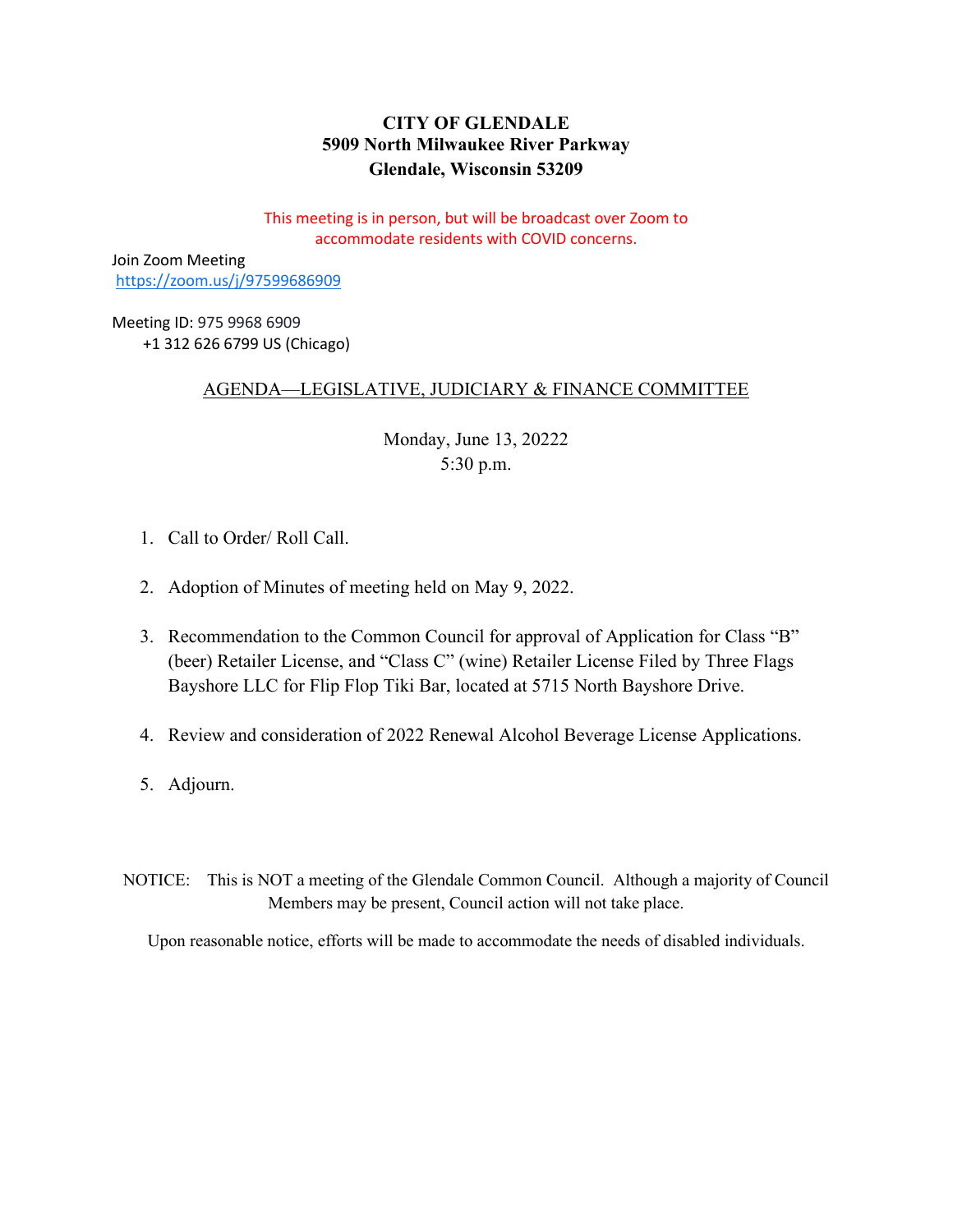# **CITY OF GLENDALE 5909 North Milwaukee River Parkway Glendale, Wisconsin 53209**

This meeting is in person, but will be broadcast over Zoom to accommodate residents with COVID concerns.

Join Zoom Meeting <https://zoom.us/j/97599686909>

Meeting ID: 975 9968 6909 +1 312 626 6799 US (Chicago)

# AGENDA—LEGISLATIVE, JUDICIARY & FINANCE COMMITTEE

Monday, June 13, 20222 5:30 p.m.

- 1. Call to Order/ Roll Call.
- 2. [Adoption of Minutes of meeting held on May 9, 2022.](#page-1-0)
- 3. [Recommendation to the Common Council for approval of Application for Class "B"](#page-2-0)  (beer) Retailer License, and "Class C" (wine) Retailer License Filed by Three Flags Bayshore LLC for Flip Flop Tiki Bar, located at 5715 North Bayshore Drive.
- 4. Review and consideration of 2022 [Renewal Alcohol Beverage License Applications.](#page-4-0)
- 5. Adjourn.
- NOTICE: This is NOT a meeting of the Glendale Common Council. Although a majority of Council Members may be present, Council action will not take place.

Upon reasonable notice, efforts will be made to accommodate the needs of disabled individuals.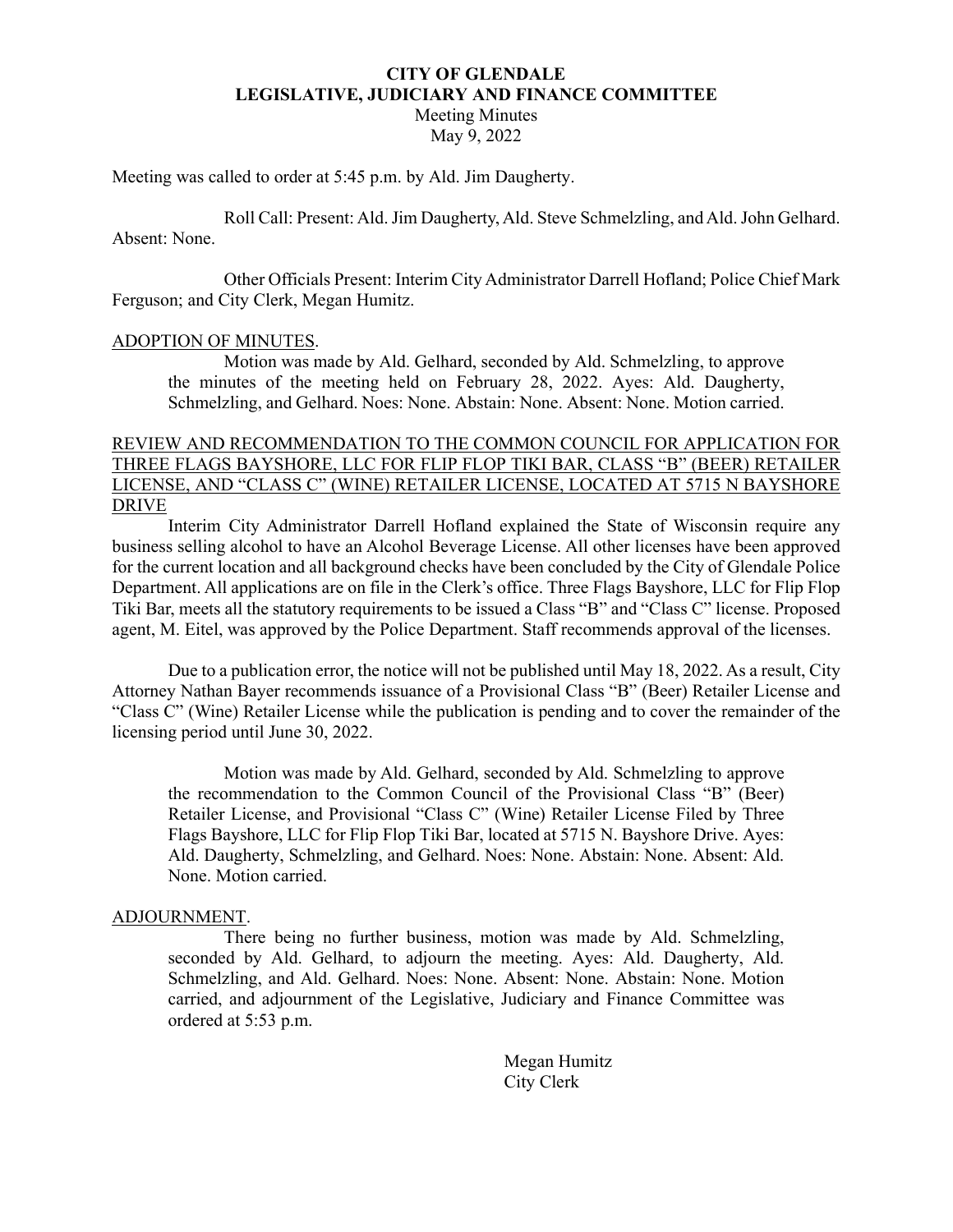#### **CITY OF GLENDALE LEGISLATIVE, JUDICIARY AND FINANCE COMMITTEE**

Meeting Minutes May 9, 2022

<span id="page-1-0"></span>Meeting was called to order at 5:45 p.m. by Ald. Jim Daugherty.

Roll Call: Present: Ald.Jim Daugherty, Ald. Steve Schmelzling, and Ald.John Gelhard. Absent: None.

Other Officials Present: Interim City Administrator Darrell Hofland; Police Chief Mark Ferguson; and City Clerk, Megan Humitz.

#### ADOPTION OF MINUTES.

Motion was made by Ald. Gelhard, seconded by Ald. Schmelzling, to approve the minutes of the meeting held on February 28, 2022. Ayes: Ald. Daugherty, Schmelzling, and Gelhard. Noes: None. Abstain: None. Absent: None. Motion carried.

#### REVIEW AND RECOMMENDATION TO THE COMMON COUNCIL FOR APPLICATION FOR THREE FLAGS BAYSHORE, LLC FOR FLIP FLOP TIKI BAR, CLASS "B" (BEER) RETAILER LICENSE, AND "CLASS C" (WINE) RETAILER LICENSE, LOCATED AT 5715 N BAYSHORE DRIVE

Interim City Administrator Darrell Hofland explained the State of Wisconsin require any business selling alcohol to have an Alcohol Beverage License. All other licenses have been approved for the current location and all background checks have been concluded by the City of Glendale Police Department. All applications are on file in the Clerk's office. Three Flags Bayshore, LLC for Flip Flop Tiki Bar, meets all the statutory requirements to be issued a Class "B" and "Class C" license. Proposed agent, M. Eitel, was approved by the Police Department. Staff recommends approval of the licenses.

Due to a publication error, the notice will not be published until May 18, 2022. As a result, City Attorney Nathan Bayer recommends issuance of a Provisional Class "B" (Beer) Retailer License and "Class C" (Wine) Retailer License while the publication is pending and to cover the remainder of the licensing period until June 30, 2022.

Motion was made by Ald. Gelhard, seconded by Ald. Schmelzling to approve the recommendation to the Common Council of the Provisional Class "B" (Beer) Retailer License, and Provisional "Class C" (Wine) Retailer License Filed by Three Flags Bayshore, LLC for Flip Flop Tiki Bar, located at 5715 N. Bayshore Drive. Ayes: Ald. Daugherty, Schmelzling, and Gelhard. Noes: None. Abstain: None. Absent: Ald. None. Motion carried.

#### ADJOURNMENT.

There being no further business, motion was made by Ald. Schmelzling, seconded by Ald. Gelhard, to adjourn the meeting. Ayes: Ald. Daugherty, Ald. Schmelzling, and Ald. Gelhard. Noes: None. Absent: None. Abstain: None. Motion carried, and adjournment of the Legislative, Judiciary and Finance Committee was ordered at 5:53 p.m.

> Megan Humitz City Clerk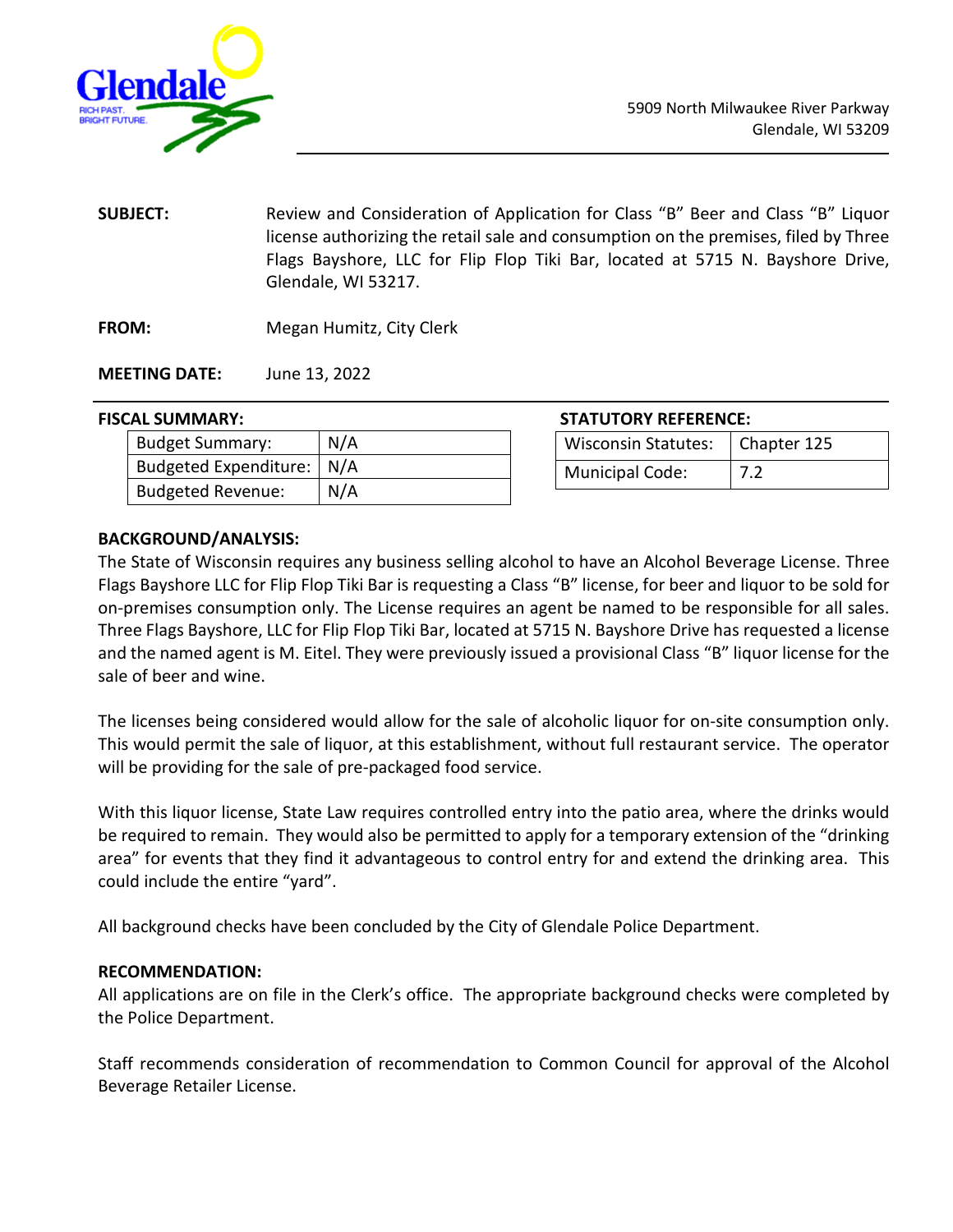<span id="page-2-0"></span>

- **SUBJECT:** Review and Consideration of Application for Class "B" Beer and Class "B" Liquor license authorizing the retail sale and consumption on the premises, filed by Three Flags Bayshore, LLC for Flip Flop Tiki Bar, located at 5715 N. Bayshore Drive, Glendale, WI 53217.
- **FROM:** Megan Humitz, City Clerk

**MEETING DATE:** June 13, 2022

#### **FISCAL SUMMARY:**

| <b>Budget Summary:</b>   | N/A |
|--------------------------|-----|
| Budgeted Expenditure:    | N/A |
| <b>Budgeted Revenue:</b> | N/A |

| Wisconsin Statutes:   Chapter 125 |  |
|-----------------------------------|--|
| Municipal Code:                   |  |

## **BACKGROUND/ANALYSIS:**

The State of Wisconsin requires any business selling alcohol to have an Alcohol Beverage License. Three Flags Bayshore LLC for Flip Flop Tiki Bar is requesting a Class "B" license, for beer and liquor to be sold for on-premises consumption only. The License requires an agent be named to be responsible for all sales. Three Flags Bayshore, LLC for Flip Flop Tiki Bar, located at 5715 N. Bayshore Drive has requested a license and the named agent is M. Eitel. They were previously issued a provisional Class "B" liquor license for the sale of beer and wine.

The licenses being considered would allow for the sale of alcoholic liquor for on-site consumption only. This would permit the sale of liquor, at this establishment, without full restaurant service. The operator will be providing for the sale of pre-packaged food service.

With this liquor license, State Law requires controlled entry into the patio area, where the drinks would be required to remain. They would also be permitted to apply for a temporary extension of the "drinking area" for events that they find it advantageous to control entry for and extend the drinking area. This could include the entire "yard".

All background checks have been concluded by the City of Glendale Police Department.

## **RECOMMENDATION:**

All applications are on file in the Clerk's office. The appropriate background checks were completed by the Police Department.

Staff recommends consideration of recommendation to Common Council for approval of the Alcohol Beverage Retailer License.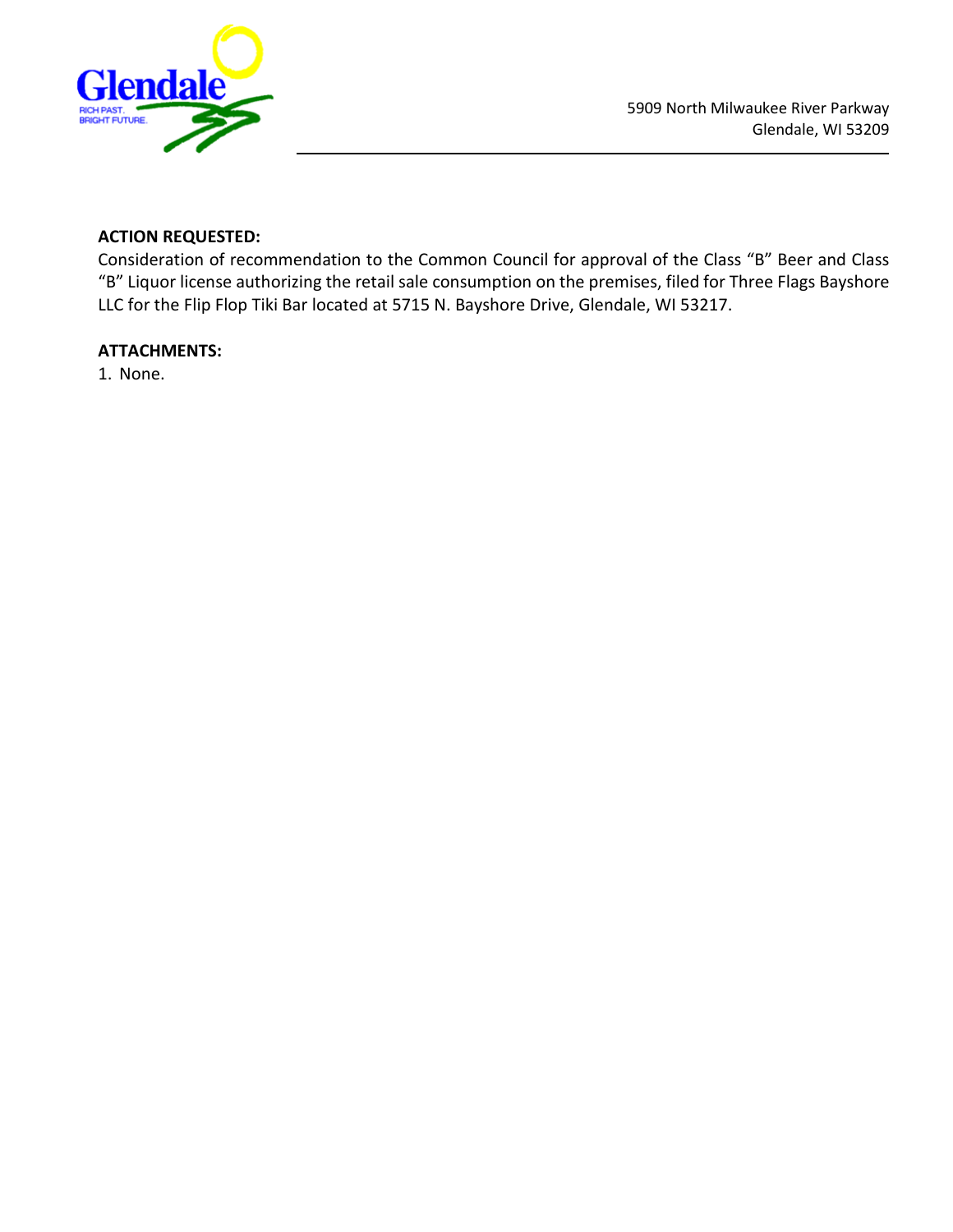

# **ACTION REQUESTED:**

Consideration of recommendation to the Common Council for approval of the Class "B" Beer and Class "B" Liquor license authorizing the retail sale consumption on the premises, filed for Three Flags Bayshore LLC for the Flip Flop Tiki Bar located at 5715 N. Bayshore Drive, Glendale, WI 53217.

## **ATTACHMENTS:**

1. None.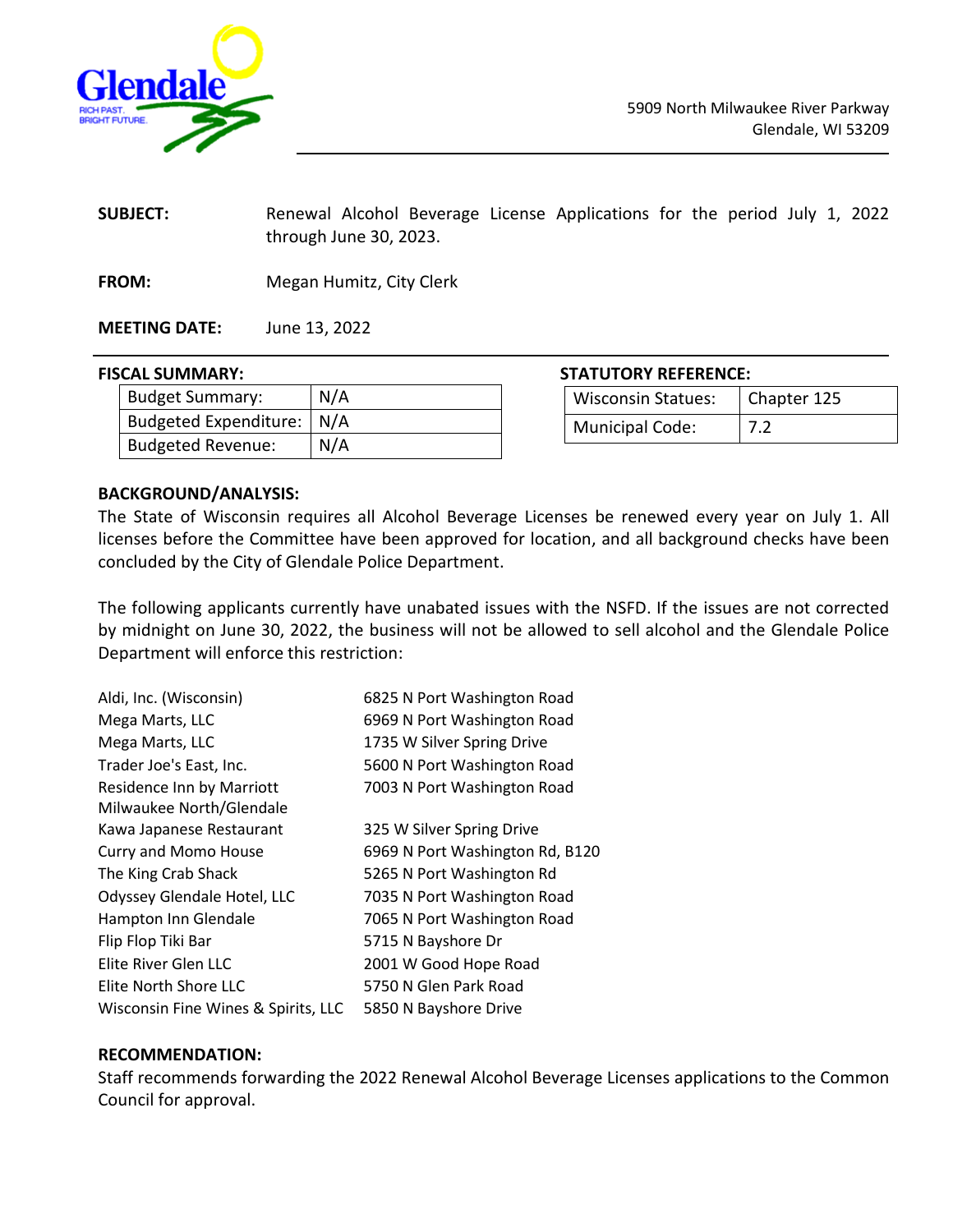<span id="page-4-0"></span>

**SUBJECT:** Renewal Alcohol Beverage License Applications for the period July 1, 2022 through June 30, 2023.

**FROM:** Megan Humitz, City Clerk

**MEETING DATE:** June 13, 2022

| <b>Budget Summary:</b>      | N/A |
|-----------------------------|-----|
| Budgeted Expenditure:   N/A |     |
| <b>Budgeted Revenue:</b>    | N/A |

**FISCAL SUMMARY: STATUTORY REFERENCE:**

| <b>Wisconsin Statues:</b> | Chapter 125 |
|---------------------------|-------------|
| <b>Municipal Code:</b>    | 7.2         |

#### **BACKGROUND/ANALYSIS:**

The State of Wisconsin requires all Alcohol Beverage Licenses be renewed every year on July 1. All licenses before the Committee have been approved for location, and all background checks have been concluded by the City of Glendale Police Department.

The following applicants currently have unabated issues with the NSFD. If the issues are not corrected by midnight on June 30, 2022, the business will not be allowed to sell alcohol and the Glendale Police Department will enforce this restriction:

| 6825 N Port Washington Road     |
|---------------------------------|
| 6969 N Port Washington Road     |
| 1735 W Silver Spring Drive      |
| 5600 N Port Washington Road     |
| 7003 N Port Washington Road     |
|                                 |
| 325 W Silver Spring Drive       |
| 6969 N Port Washington Rd, B120 |
| 5265 N Port Washington Rd       |
| 7035 N Port Washington Road     |
| 7065 N Port Washington Road     |
| 5715 N Bayshore Dr              |
| 2001 W Good Hope Road           |
| 5750 N Glen Park Road           |
| 5850 N Bayshore Drive           |
|                                 |

## **RECOMMENDATION:**

Staff recommends forwarding the 2022 Renewal Alcohol Beverage Licenses applications to the Common Council for approval.